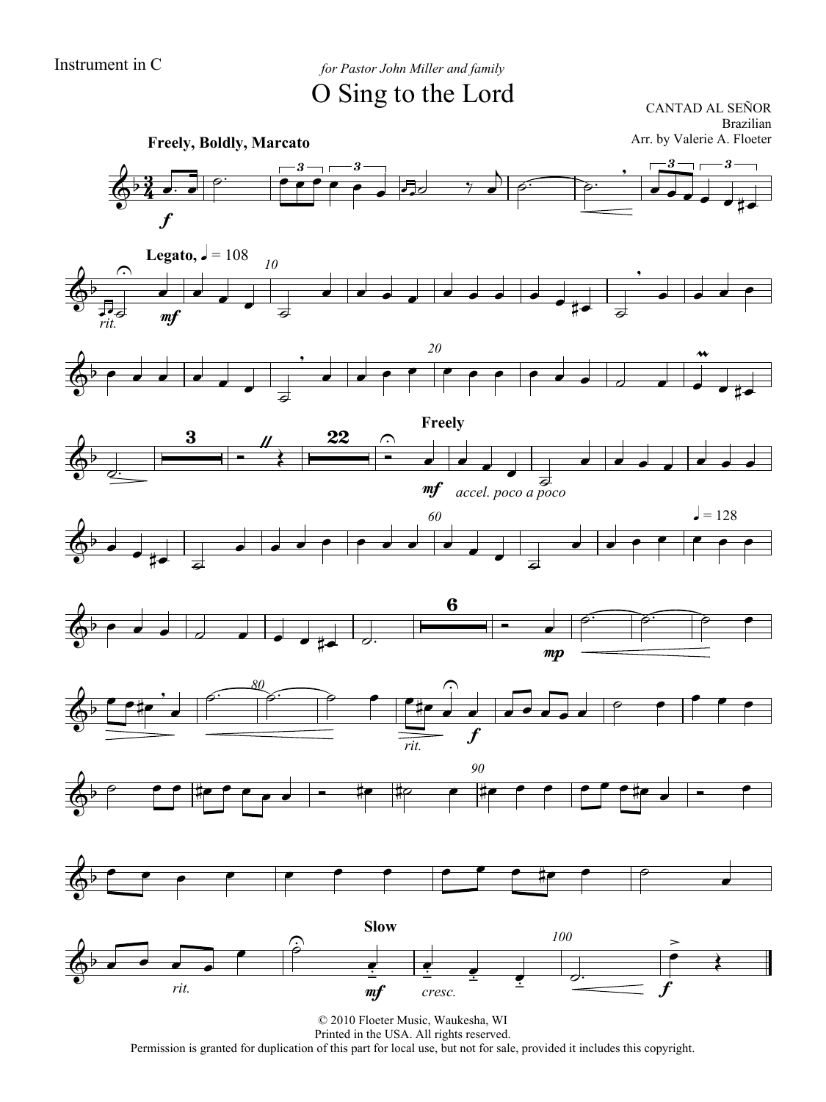Instrument in C *for Pastor John Miller and family* O Sing to the Lord

CANTAD AL SEÑOR Brazilian

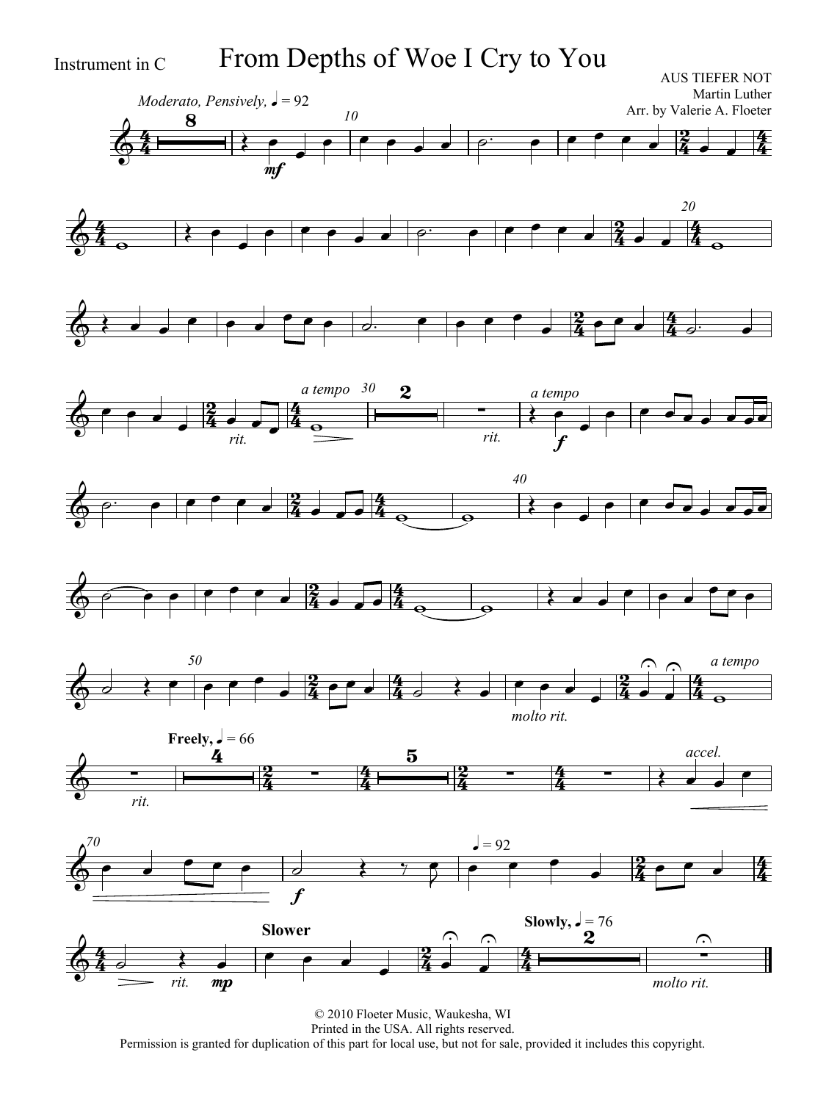Instrument in C From Depths of Woe I Cry to You

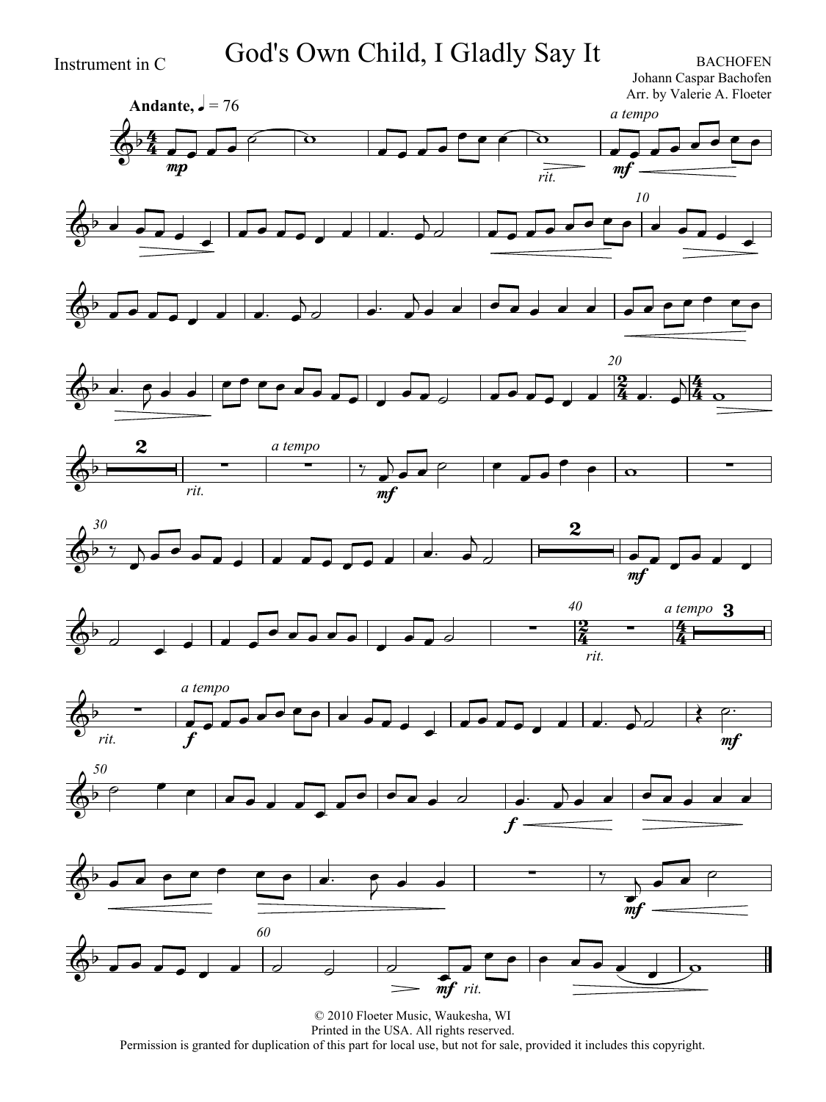### Instrument in C God's Own Child, I Gladly Say It BACHOFEN

Johann Caspar Bachofen Arr. by Valerie A. Floeter

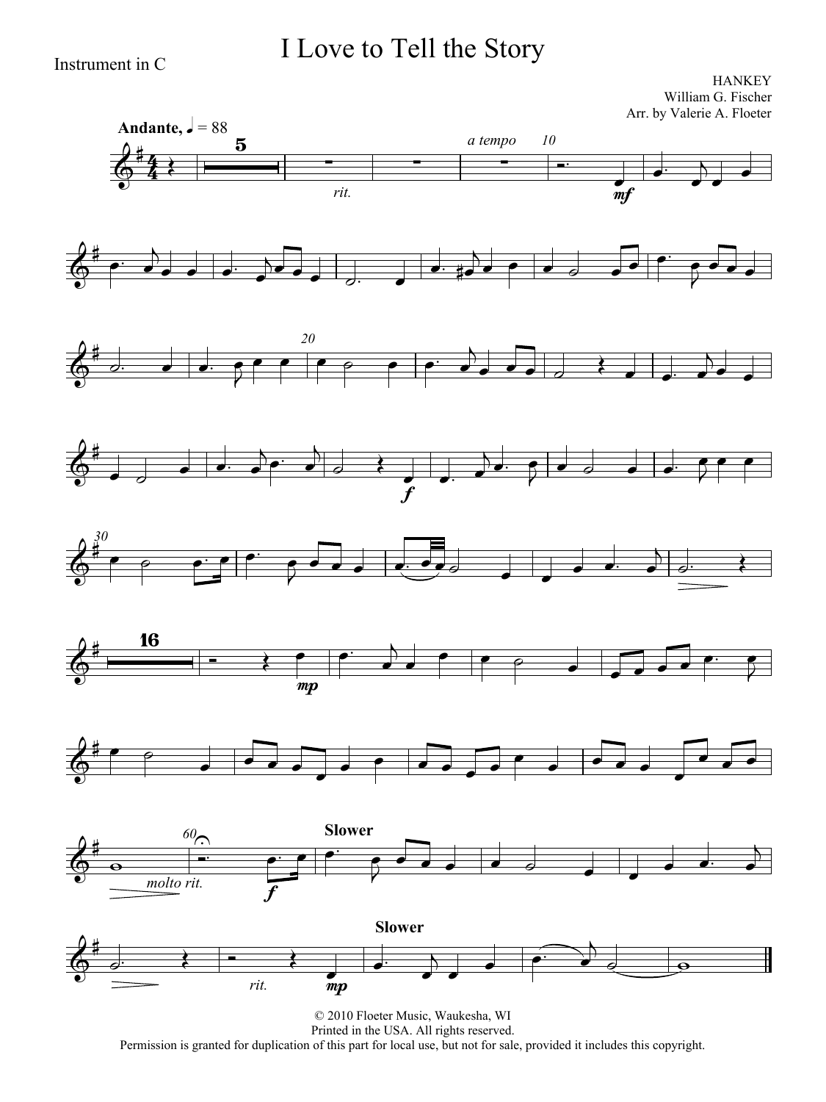### I Love to Tell the Story

Instrument in C

**HANKEY** William G. Fischer Arr. by Valerie A. Floeter

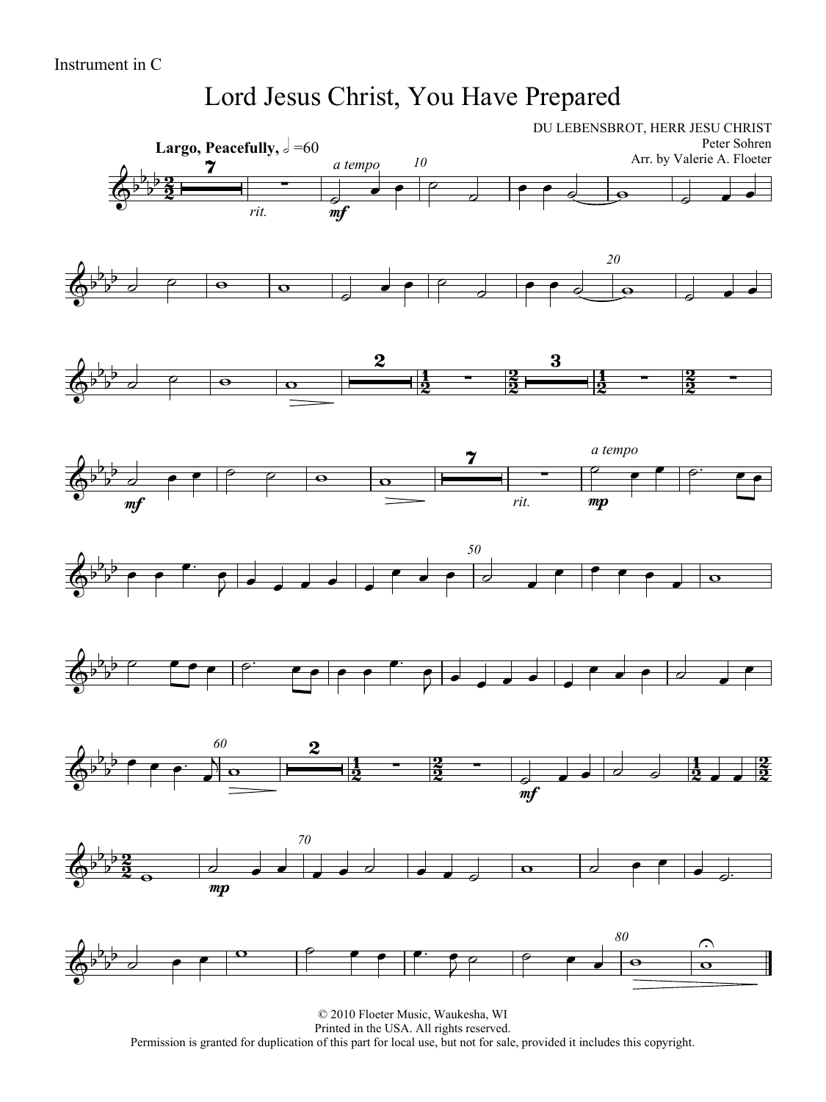### Lord Jesus Christ, You Have Prepared

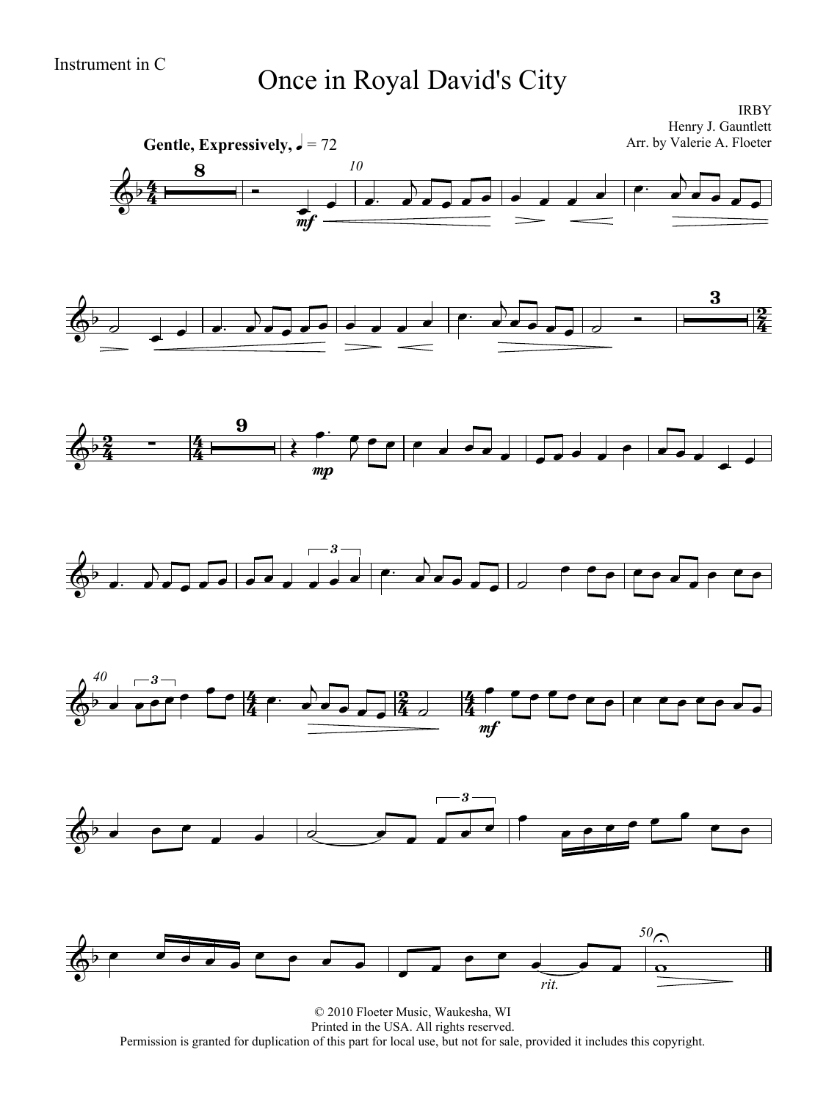# Instrument in C<br>
Once in Royal David's City

IRBY Henry J. Gauntlett Arr. by Valerie A. Floeter



© 2010 Floeter Music, Waukesha, WI Printed in the USA. All rights reserved. Permission is granted for duplication of this part for local use, but not for sale, provided it includes this copyright.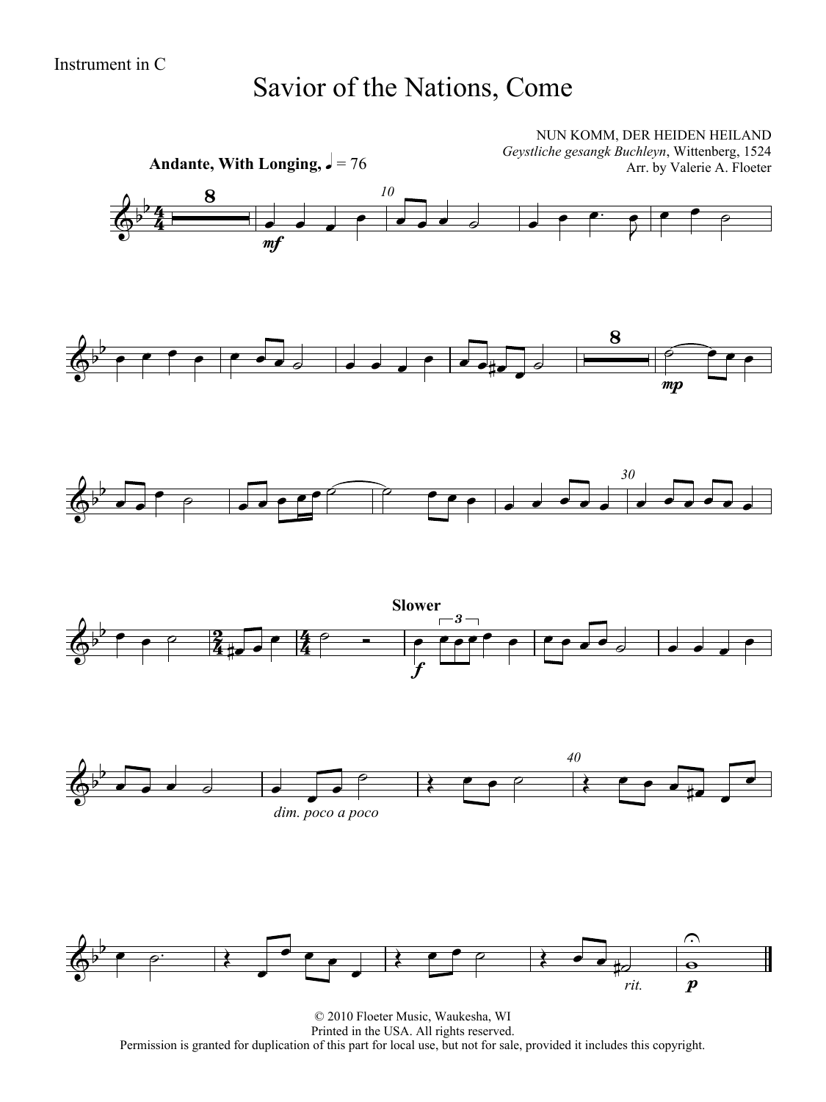### Savior of the Nations, Come



© 2010 Floeter Music, Waukesha, WI Printed in the USA. All rights reserved. Permission is granted for duplication of this part for local use, but not for sale, provided it includes this copyright.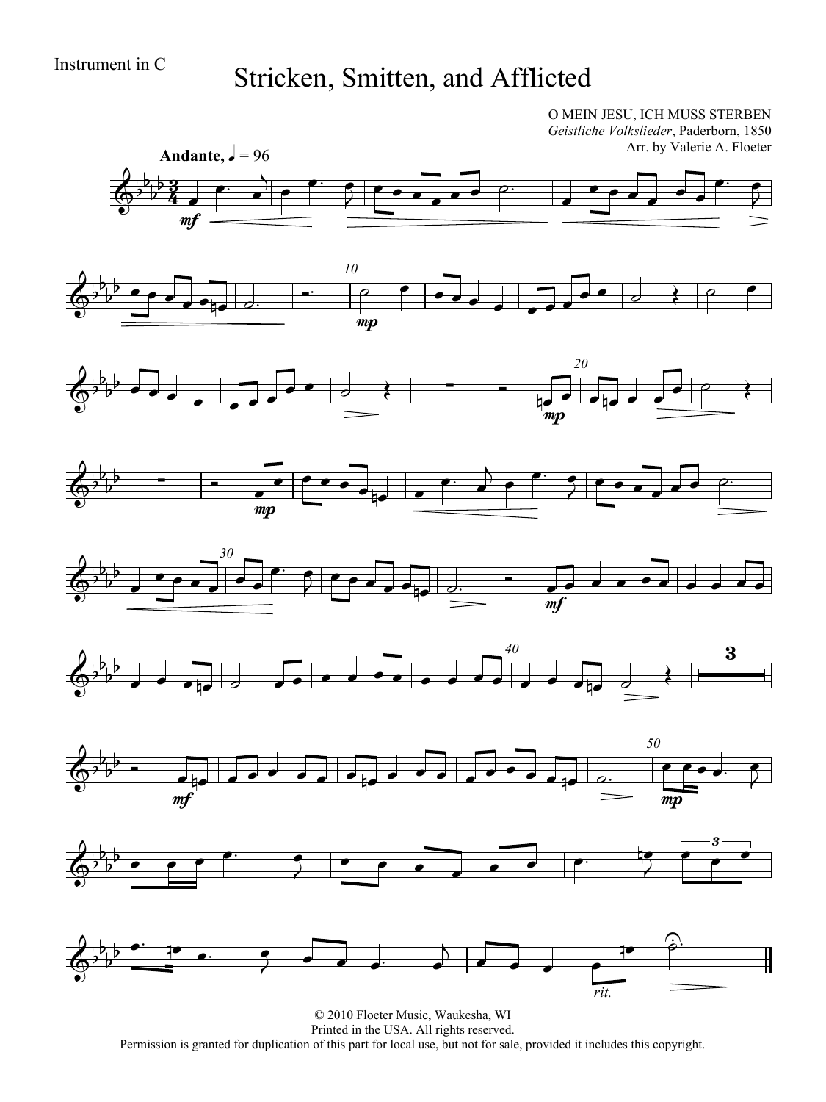## Instrument in C<br>Stricken, Smitten, and Afflicted

O MEIN JESU, ICH MUSS STERBEN *Geistliche Volkslieder*, Paderborn, 1850 Arr. by Valerie A. Floeter

















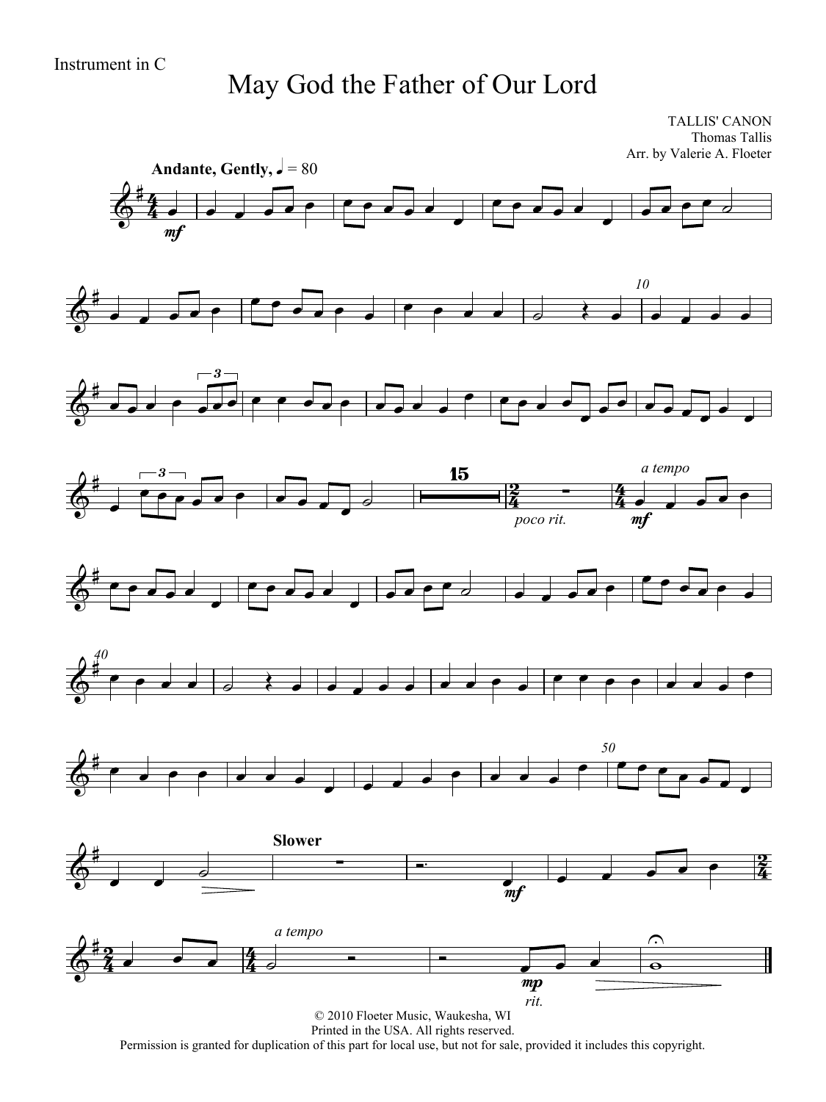## May God the Father of Our Lord

TALLIS' CANON Thomas Tallis Arr. by Valerie A. Floeter



Printed in the USA. All rights reserved.

Permission is granted for duplication of this part for local use, but not for sale, provided it includes this copyright.